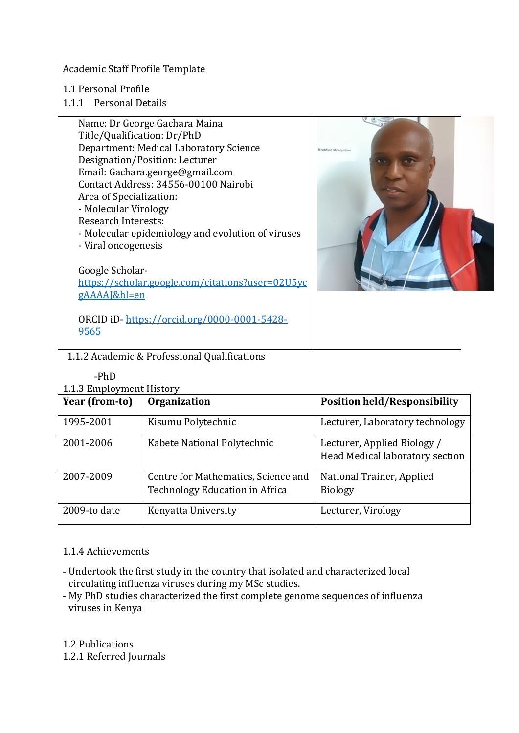Academic Staff Profile Template

- 1.1 Personal Profile
- 1.1.1 Personal Details



# 1.1.2 Academic & Professional Qualifications

## -PhD

## 1.1.3 Employment History

| Year (from-to) | <b>Organization</b>                                                   | <b>Position held/Responsibility</b>                            |
|----------------|-----------------------------------------------------------------------|----------------------------------------------------------------|
| 1995-2001      | Kisumu Polytechnic                                                    | Lecturer, Laboratory technology                                |
| 2001-2006      | Kabete National Polytechnic                                           | Lecturer, Applied Biology /<br>Head Medical laboratory section |
| 2007-2009      | Centre for Mathematics, Science and<br>Technology Education in Africa | National Trainer, Applied<br><b>Biology</b>                    |
| 2009-to date   | Kenyatta University                                                   | Lecturer, Virology                                             |

# 1.1.4 Achievements

- Undertook the first study in the country that isolated and characterized local circulating influenza viruses during my MSc studies.
- My PhD studies characterized the first complete genome sequences of influenza viruses in Kenya

1.2 Publications

1.2.1 Referred Journals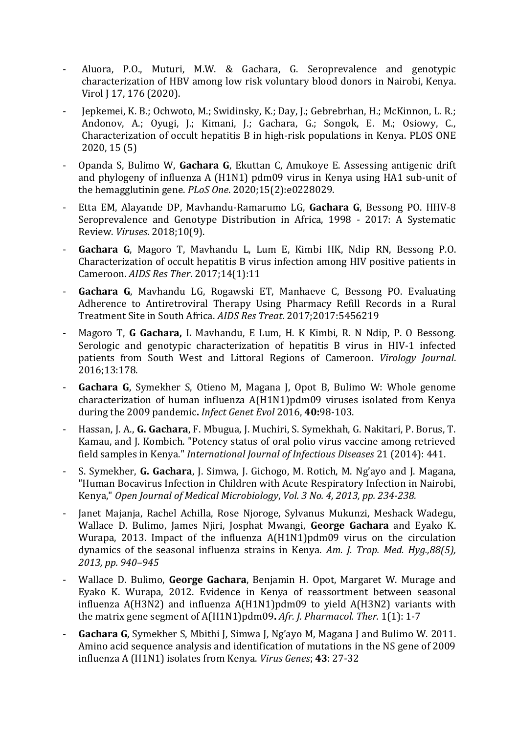- Aluora, P.O., Muturi, M.W. & Gachara, G. Seroprevalence and genotypic characterization of HBV among low risk voluntary blood donors in Nairobi, Kenya. Virol J 17, 176 (2020).
- Jepkemei, K. B.; Ochwoto, M.; Swidinsky, K.; Day, J.; Gebrebrhan, H.; McKinnon, L. R.; Andonov, A.; Oyugi, J.; Kimani, J.; Gachara, G.; Songok, E. M.; Osiowy, C., Characterization of occult hepatitis B in high-risk populations in Kenya. PLOS ONE 2020, 15 (5)
- Opanda S, Bulimo W, **Gachara G**, Ekuttan C, Amukoye E. Assessing antigenic drift and phylogeny of influenza A (H1N1) pdm09 virus in Kenya using HA1 sub-unit of the hemagglutinin gene. *PLoS One*. 2020;15(2):e0228029.
- Etta EM, Alayande DP, Mavhandu-Ramarumo LG, **Gachara G**, Bessong PO. HHV-8 Seroprevalence and Genotype Distribution in Africa, 1998 - 2017: A Systematic Review. *Viruses*. 2018;10(9).
- **Gachara G**, Magoro T, Mavhandu L, Lum E, Kimbi HK, Ndip RN, Bessong P.O. Characterization of occult hepatitis B virus infection among HIV positive patients in Cameroon. *AIDS Res Ther*. 2017;14(1):11
- **Gachara G**, Mavhandu LG, Rogawski ET, Manhaeve C, Bessong PO. Evaluating Adherence to Antiretroviral Therapy Using Pharmacy Refill Records in a Rural Treatment Site in South Africa. *AIDS Res Treat*. 2017;2017:5456219
- Magoro T, **G Gachara,** L Mavhandu, E Lum, H. K Kimbi, R. N Ndip, P. O Bessong. Serologic and genotypic characterization of hepatitis B virus in HIV-1 infected patients from South West and Littoral Regions of Cameroon. *Virology Journal*. 2016;13:178.
- **Gachara G**, Symekher S, Otieno M, Magana J, Opot B, Bulimo W: Whole genome characterization of human influenza A(H1N1)pdm09 viruses isolated from Kenya during the 2009 pandemic**.** *Infect Genet Evol* 2016, **40:**98-103.
- Hassan, J. A., **G. Gachara**, F. Mbugua, J. Muchiri, S. Symekhah, G. Nakitari, P. Borus, T. Kamau, and J. Kombich. "Potency status of oral polio virus vaccine among retrieved field samples in Kenya." *International Journal of Infectious Diseases* 21 (2014): 441.
- S. Symekher, **G. Gachara**, J. Simwa, J. Gichogo, M. Rotich, M. Ng'ayo and J. Magana, "Human Bocavirus Infection in Children with Acute Respiratory Infection in Nairobi, Kenya," *Open Journal of Medical Microbiology*, *Vol. 3 No. 4, 2013, pp. 234-238.*
- Janet Majanja, Rachel Achilla, Rose Njoroge, Sylvanus Mukunzi, Meshack Wadegu, Wallace D. Bulimo, James Njiri, Josphat Mwangi, **George Gachara** and Eyako K. Wurapa, 2013. Impact of the influenza A(H1N1)pdm09 virus on the circulation dynamics of the seasonal influenza strains in Kenya. *Am. J. Trop. Med. Hyg.,88(5), 2013, pp. 940–945*
- Wallace D. Bulimo, **George Gachara**, Benjamin H. Opot, Margaret W. Murage and Eyako K. Wurapa, 2012. Evidence in Kenya of reassortment between seasonal influenza A(H3N2) and influenza A(H1N1)pdm09 to yield A(H3N2) variants with the matrix gene segment of A(H1N1)pdm09**.** *Afr. J. Pharmacol. Ther.* 1(1): 1-7
- **[Gachara G](http://www.springerlink.com/content/?Author=Gachara+George)**, [Symekher S,](http://www.springerlink.com/content/?Author=Symekher+Samuel) [Mbithi J,](http://www.springerlink.com/content/?Author=Mbithi+John) [Simwa J,](http://www.springerlink.com/content/?Author=Simwa+James) [Ng'ayo M](http://www.springerlink.com/content/?Author=Ng%e2%80%99ayo+Musa), [Magana J](http://www.springerlink.com/content/?Author=Magana+Japheth) and [Bulimo W.](http://www.springerlink.com/content/?Author=Bulimo+Wallace) 2011. Amino acid sequence analysis and identification of mutations in the NS gene of 2009 influenza A (H1N1) isolates from Kenya. *Virus Genes*; **43**: 27-32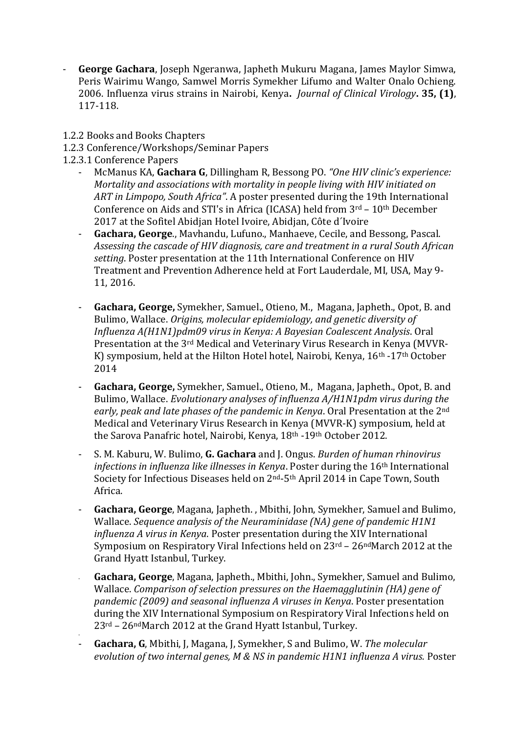- **George Gachara**, Joseph Ngeranwa, Japheth Mukuru Magana, James Maylor Simwa, Peris Wairimu Wango, Samwel Morris Symekher Lifumo and Walter Onalo Ochieng. 2006. Influenza virus strains in Nairobi, Kenya**.** *Journal of Clinical Virology***. 35, (1)**, 117-118.
- 1.2.2 Books and Books Chapters
- 1.2.3 Conference/Workshops/Seminar Papers
- 1.2.3.1 Conference Papers

-

- McManus KA, **Gachara G**, Dillingham R, Bessong PO. *"One HIV clinic's experience: Mortality and associations with mortality in people living with HIV initiated on ART in Limpopo, South Africa"*. A poster presented during the 19th International Conference on Aids and STI's in Africa (ICASA) held from 3rd – 10th December 2017 at the Sofitel Abidjan Hotel Ivoire, Abidjan, Côte d´Ivoire
- **Gachara, George**., Mavhandu, Lufuno., Manhaeve, Cecile, and Bessong, Pascal. *Assessing the cascade of HIV diagnosis, care and treatment in a rural South African setting*. Poster presentation at the 11th International Conference on HIV Treatment and Prevention Adherence held at Fort Lauderdale, MI, USA, May 9- 11, 2016.
- **Gachara, George,** Symekher, Samuel., Otieno, M., Magana, Japheth., Opot, B. and Bulimo, Wallace. *Origins, molecular epidemiology, and genetic diversity of Influenza A(H1N1)pdm09 virus in Kenya: A Bayesian Coalescent Analysis*. Oral Presentation at the 3rd Medical and Veterinary Virus Research in Kenya (MVVR-K) symposium, held at the Hilton Hotel hotel, Nairobi, Kenya, 16<sup>th</sup> -17<sup>th</sup> October 2014
- **Gachara, George,** Symekher, Samuel., Otieno, M., Magana, Japheth., Opot, B. and Bulimo, Wallace. *Evolutionary analyses of influenza A/H1N1pdm virus during the early, peak and late phases of the pandemic in Kenya*. Oral Presentation at the 2nd Medical and Veterinary Virus Research in Kenya (MVVR-K) symposium, held at the Sarova Panafric hotel, Nairobi, Kenya, 18th -19th October 2012.
- S. M. Kaburu, W. Bulimo, **G. Gachara** and J. Ongus. *Burden of human rhinovirus infections in influenza like illnesses in Kenya*. Poster during the 16<sup>th</sup> International Society for Infectious Diseases held on 2nd-5th April 2014 in Cape Town, South Africa.
- **Gachara, George**, Magana, Japheth. , Mbithi, John, Symekher, Samuel and Bulimo, Wallace. *Sequence analysis of the Neuraminidase (NA) gene of pandemic H1N1 influenza A virus in Kenya*. Poster presentation during the XIV International Symposium on Respiratory Viral Infections held on 23rd – 26ndMarch 2012 at the Grand Hyatt Istanbul, Turkey.
- **Gachara, George**, Magana, Japheth., Mbithi, John., Symekher, Samuel and Bulimo, Wallace. *Comparison of selection pressures on the Haemagglutinin (HA) gene of pandemic (2009) and seasonal influenza A viruses in Kenya*. Poster presentation during the XIV International Symposium on Respiratory Viral Infections held on 23rd – 26ndMarch 2012 at the Grand Hyatt Istanbul, Turkey.
- **Gachara, G**, Mbithi, J, Magana, J, Symekher, S and Bulimo, W. *The molecular evolution of two internal genes, M & NS in pandemic H1N1 influenza A virus.* Poster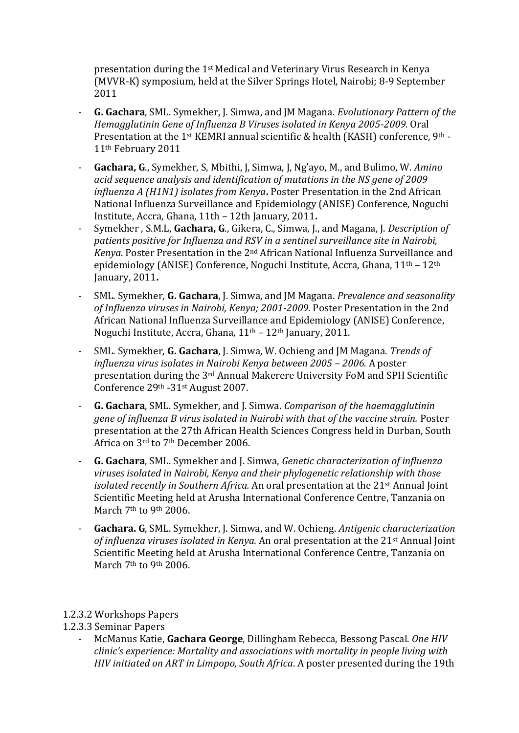presentation during the 1st Medical and Veterinary Virus Research in Kenya (MVVR-K) symposium, held at the Silver Springs Hotel, Nairobi; 8-9 September 2011

- **G. Gachara**, SML. Symekher, J. Simwa, and JM Magana. *Evolutionary Pattern of the Hemagglutinin Gene of Influenza B Viruses isolated in Kenya 2005-2009.* Oral Presentation at the 1<sup>st</sup> KEMRI annual scientific & health (KASH) conference, 9<sup>th</sup> -11th February 2011
- **Gachara, G**., Symekher, S, Mbithi, J, Simwa, J, Ng'ayo, M., and Bulimo, W. *Amino acid sequence analysis and identification of mutations in the NS gene of 2009 influenza A (H1N1) isolates from Kenya***.** Poster Presentation in the 2nd African National Influenza Surveillance and Epidemiology (ANISE) Conference, Noguchi Institute, Accra, Ghana, 11th – 12th January, 2011**.**
- Symekher , S.M.L, **Gachara, G**., Gikera, C., Simwa, J., and Magana, J. *Description of patients positive for Influenza and RSV in a sentinel surveillance site in Nairobi, Kenya*. Poster Presentation in the 2nd African National Influenza Surveillance and epidemiology (ANISE) Conference, Noguchi Institute, Accra, Ghana, 11th – 12th January, 2011**.**
- SML. Symekher, **G. Gachara**, J. Simwa, and JM Magana. *Prevalence and seasonality of Influenza viruses in Nairobi, Kenya; 2001-2009*. Poster Presentation in the 2nd African National Influenza Surveillance and Epidemiology (ANISE) Conference, Noguchi Institute, Accra, Ghana, 11th – 12th January, 2011.
- SML. Symekher, **G. Gachara**, J. Simwa, W. Ochieng and JM Magana. *Trends of influenza virus isolates in Nairobi Kenya between 2005 – 2006.* A poster presentation during the 3rd Annual Makerere University FoM and SPH Scientific Conference 29th -31st August 2007.
- **G. Gachara**, SML. Symekher, and J. Simwa. *Comparison of the haemagglutinin gene of influenza B virus isolated in Nairobi with that of the vaccine strain.* Poster presentation at the 27th African Health Sciences Congress held in Durban, South Africa on 3rd to 7th December 2006.
- **G. Gachara**, SML. Symekher and J. Simwa, *Genetic characterization of influenza viruses isolated in Nairobi, Kenya and their phylogenetic relationship with those isolated recently in Southern Africa.* An oral presentation at the 21st Annual Joint Scientific Meeting held at Arusha International Conference Centre, Tanzania on March 7<sup>th</sup> to 9<sup>th</sup> 2006.
- **Gachara. G**, SML. Symekher, J. Simwa, and W. Ochieng. *Antigenic characterization of influenza viruses isolated in Kenya.* An oral presentation at the 21st Annual Joint Scientific Meeting held at Arusha International Conference Centre, Tanzania on March 7<sup>th</sup> to 9<sup>th</sup> 2006.

## 1.2.3.2 Workshops Papers

# 1.2.3.3 Seminar Papers

- McManus Katie, **Gachara George**, Dillingham Rebecca, Bessong Pascal. *One HIV clinic's experience: Mortality and associations with mortality in people living with HIV initiated on ART in Limpopo, South Africa*. A poster presented during the 19th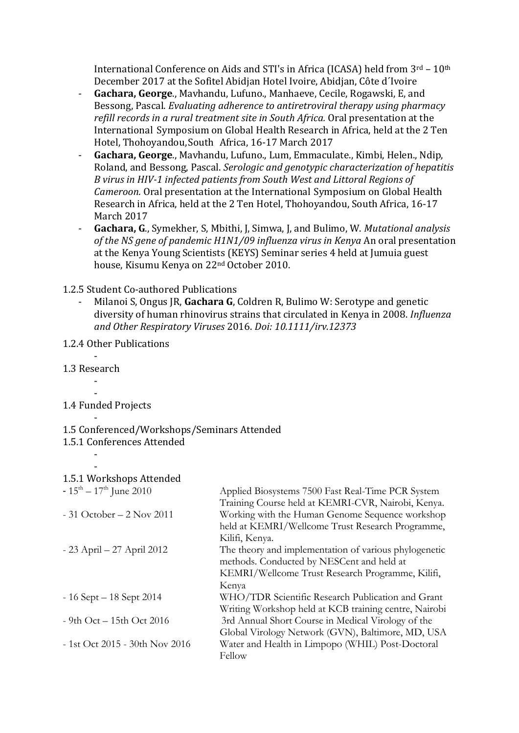International Conference on Aids and STI's in Africa (ICASA) held from 3rd – 10th December 2017 at the Sofitel Abidjan Hotel Ivoire, Abidjan, Côte d´Ivoire

- **Gachara, George**., Mavhandu, Lufuno., Manhaeve, Cecile, Rogawski, E, and Bessong, Pascal. *Evaluating adherence to antiretroviral therapy using pharmacy refill records in a rural treatment site in South Africa.* Oral presentation at the International Symposium on Global Health Research in Africa, held at the 2 Ten Hotel, Thohoyandou,South Africa, 16-17 March 2017
- **Gachara, George**., Mavhandu, Lufuno., Lum, Emmaculate., Kimbi, Helen., Ndip, Roland, and Bessong, Pascal. *Serologic and genotypic characterization of hepatitis B virus in HIV-1 infected patients from South West and Littoral Regions of Cameroon.* Oral presentation at the International Symposium on Global Health Research in Africa, held at the 2 Ten Hotel, Thohoyandou, South Africa, 16-17 March 2017
- **Gachara, G**., Symekher, S, Mbithi, J, Simwa, J, and Bulimo, W. *Mutational analysis of the NS gene of pandemic H1N1/09 influenza virus in Kenya* An oral presentation at the Kenya Young Scientists (KEYS) Seminar series 4 held at Jumuia guest house, Kisumu Kenya on 22nd October 2010.

## 1.2.5 Student Co-authored Publications

- Milanoi S, Ongus JR, **Gachara G**, Coldren R, Bulimo W: Serotype and genetic diversity of human rhinovirus strains that circulated in Kenya in 2008. *Influenza and Other Respiratory Viruses* 2016. *Doi: 10.1111/irv.12373*

# 1.2.4 Other Publications

### - 1.3 Research -

#### - 1.4 Funded Projects

-

### - 1.5 Conferenced/Workshops/Seminars Attended

# 1.5.1 Conferences Attended

#### - 1.5.1 Workshops Attended

| $-15^{\text{th}} - 17^{\text{th}}$ June 2010 | Applied Biosystems 7500 Fast Real-Time PCR System     |
|----------------------------------------------|-------------------------------------------------------|
|                                              | Training Course held at KEMRI-CVR, Nairobi, Kenya.    |
| $-31$ October $-2$ Nov 2011                  | Working with the Human Genome Sequence workshop       |
|                                              | held at KEMRI/Wellcome Trust Research Programme,      |
|                                              | Kilifi, Kenya.                                        |
| - 23 April – 27 April 2012                   | The theory and implementation of various phylogenetic |
|                                              | methods. Conducted by NESCent and held at             |
|                                              | KEMRI/Wellcome Trust Research Programme, Kilifi,      |
|                                              | Kenya                                                 |
| $-16$ Sept $-18$ Sept 2014                   | WHO/TDR Scientific Research Publication and Grant     |
|                                              | Writing Workshop held at KCB training centre, Nairobi |
| $-9th$ Oct $-15th$ Oct 2016                  | 3rd Annual Short Course in Medical Virology of the    |
|                                              | Global Virology Network (GVN), Baltimore, MD, USA     |
| $-1st$ Oct 2015 - 30th Nov 2016              | Water and Health in Limpopo (WHIL) Post-Doctoral      |
|                                              | Fellow                                                |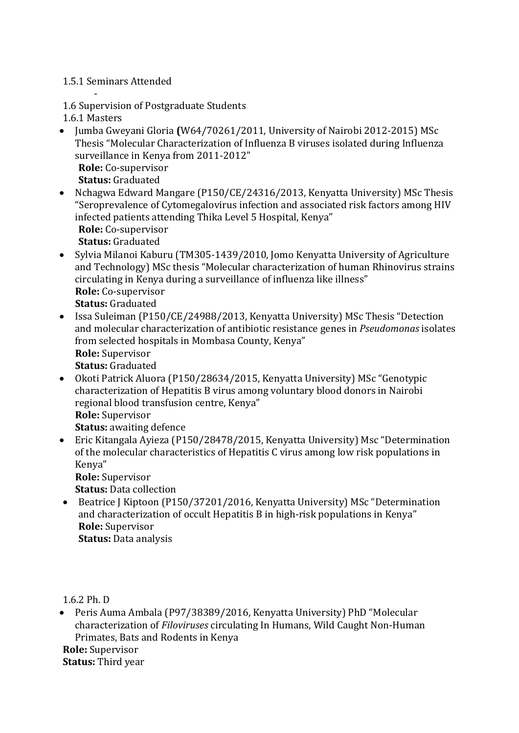# 1.5.1 Seminars Attended

- 1.6 Supervision of Postgraduate Students

1.6.1 Masters

- Jumba Gweyani Gloria **(**W64/70261/2011, University of Nairobi 2012-2015) MSc Thesis "Molecular Characterization of Influenza B viruses isolated during Influenza surveillance in Kenya from 2011-2012"
	- **Role:** Co-supervisor

**Status:** Graduated

- Nchagwa Edward Mangare (P150/CE/24316/2013, Kenyatta University) MSc Thesis "Seroprevalence of Cytomegalovirus infection and associated risk factors among HIV infected patients attending Thika Level 5 Hospital, Kenya"
	- **Role:** Co-supervisor

**Status:** Graduated

- Sylvia Milanoi Kaburu (TM305-1439/2010, Jomo Kenyatta University of Agriculture and Technology) MSc thesis "Molecular characterization of human Rhinovirus strains circulating in Kenya during a surveillance of influenza like illness" **Role:** Co-supervisor **Status:** Graduated
- Issa Suleiman (P150/CE/24988/2013, Kenyatta University) MSc Thesis "Detection and molecular characterization of antibiotic resistance genes in *Pseudomonas* isolates from selected hospitals in Mombasa County, Kenya" **Role:** Supervisor **Status:** Graduated
- Okoti Patrick Aluora (P150/28634/2015, Kenyatta University) MSc "Genotypic characterization of Hepatitis B virus among voluntary blood donors in Nairobi regional blood transfusion centre, Kenya" **Role:** Supervisor **Status:** awaiting defence
- Eric Kitangala Ayieza (P150/28478/2015, Kenyatta University) Msc "Determination of the molecular characteristics of Hepatitis C virus among low risk populations in Kenya"

**Role:** Supervisor

**Status:** Data collection

 Beatrice J Kiptoon (P150/37201/2016, Kenyatta University) MSc "Determination and characterization of occult Hepatitis B in high-risk populations in Kenya" **Role:** Supervisor **Status:** Data analysis

1.6.2 Ph. D

 Peris Auma Ambala (P97/38389/2016, Kenyatta University) PhD "Molecular characterization of *Filoviruses* circulating In Humans, Wild Caught Non-Human Primates, Bats and Rodents in Kenya **Role:** Supervisor **Status:** Third year